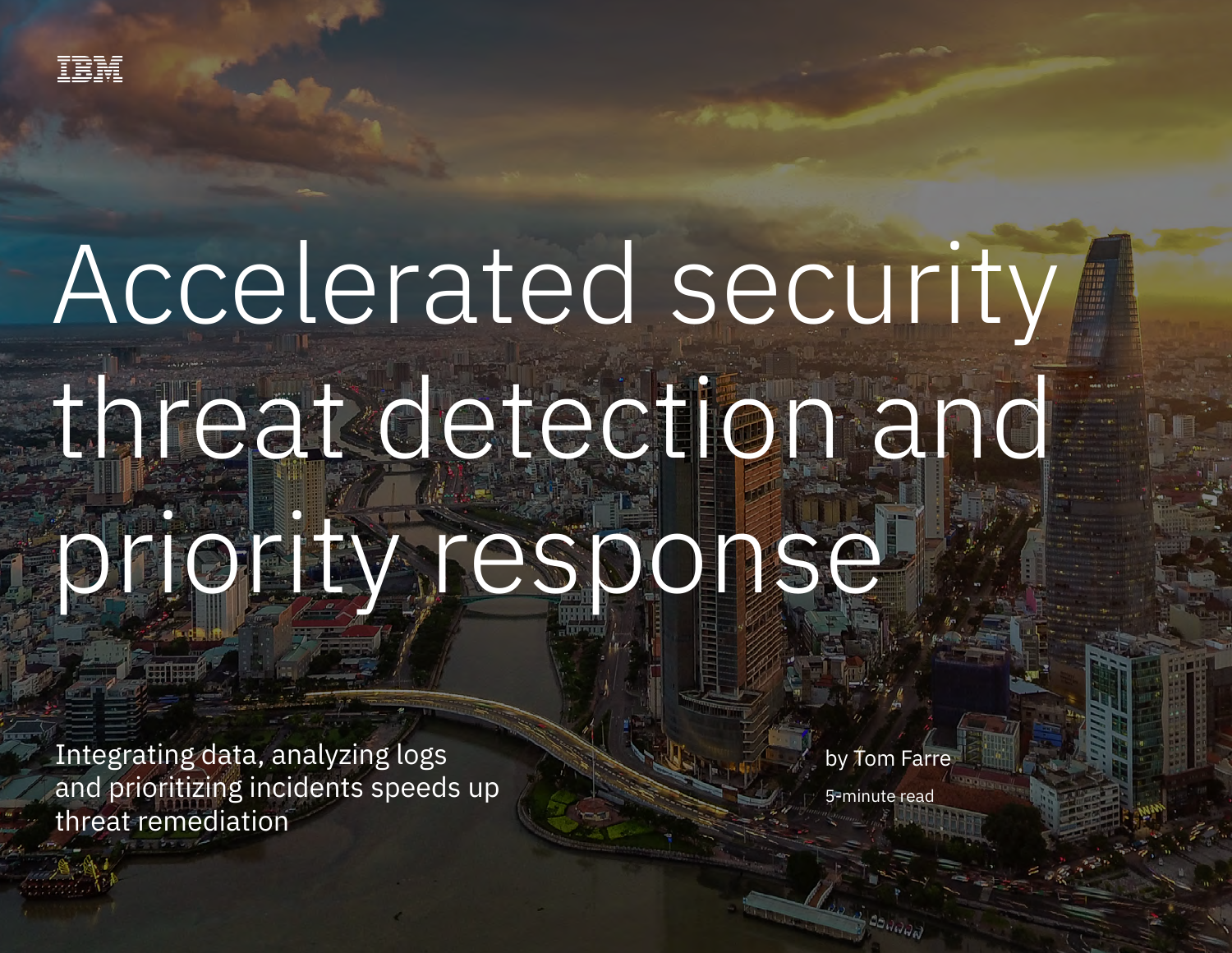# Accelerated security threat detection and priority response

Integrating data, analyzing logs and prioritizing incidents speeds up threat remediation

by Tom Farre 5-minute read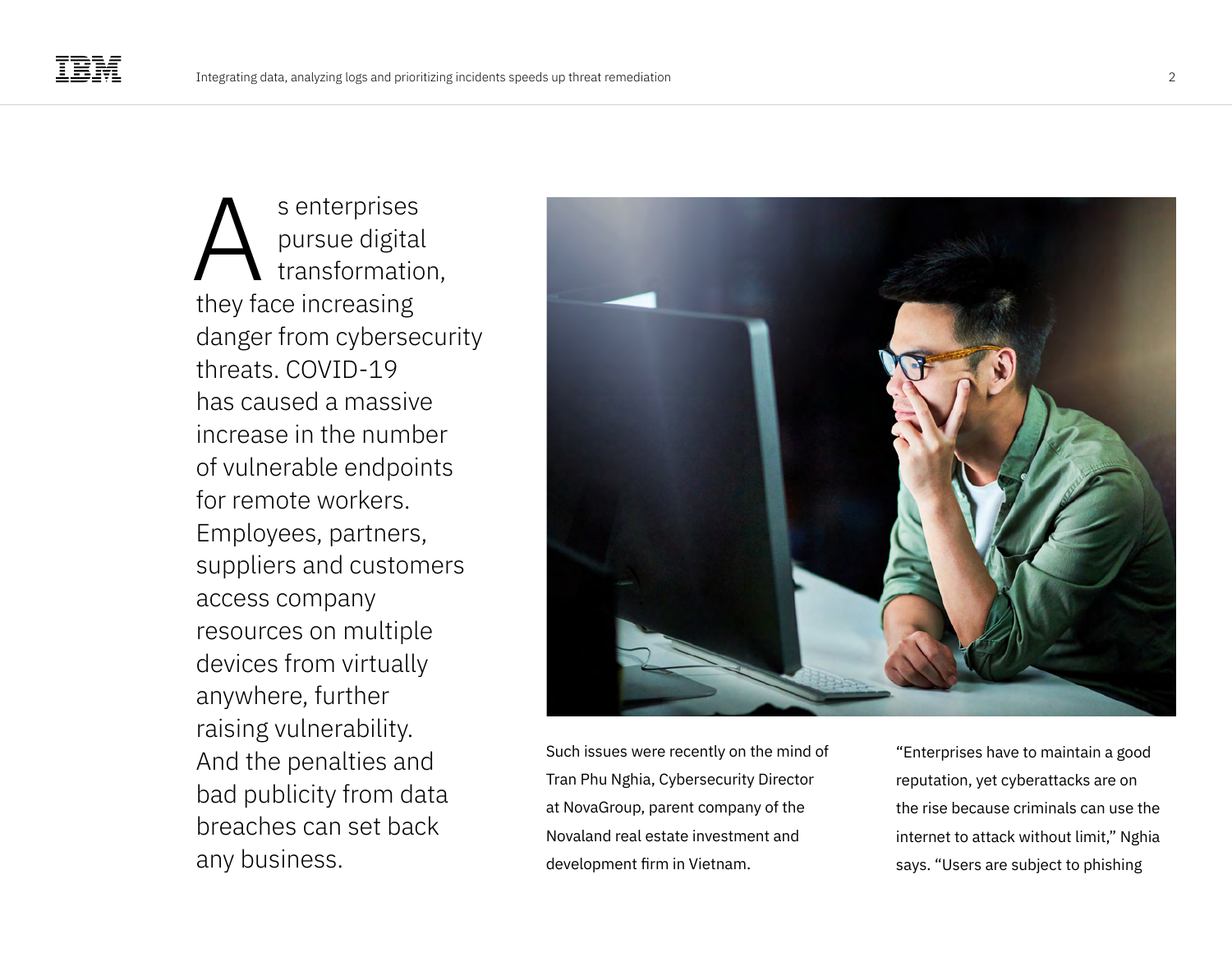s enterprises pursue digital transformation, they face increasing danger from cybersecurity threats. COVID-19 has caused a massive increase in the number of vulnerable endpoints for remote workers. Employees, partners, suppliers and customers access company resources on multiple devices from virtually anywhere, further raising vulnerability. And the penalties and bad publicity from data breaches can set back any business. A



Such issues were recently on the mind of Tran Phu Nghia, Cybersecurity Director at NovaGroup, parent company of the Novaland real estate investment and development firm in Vietnam.

"Enterprises have to maintain a good reputation, yet cyberattacks are on the rise because criminals can use the internet to attack without limit," Nghia says. "Users are subject to phishing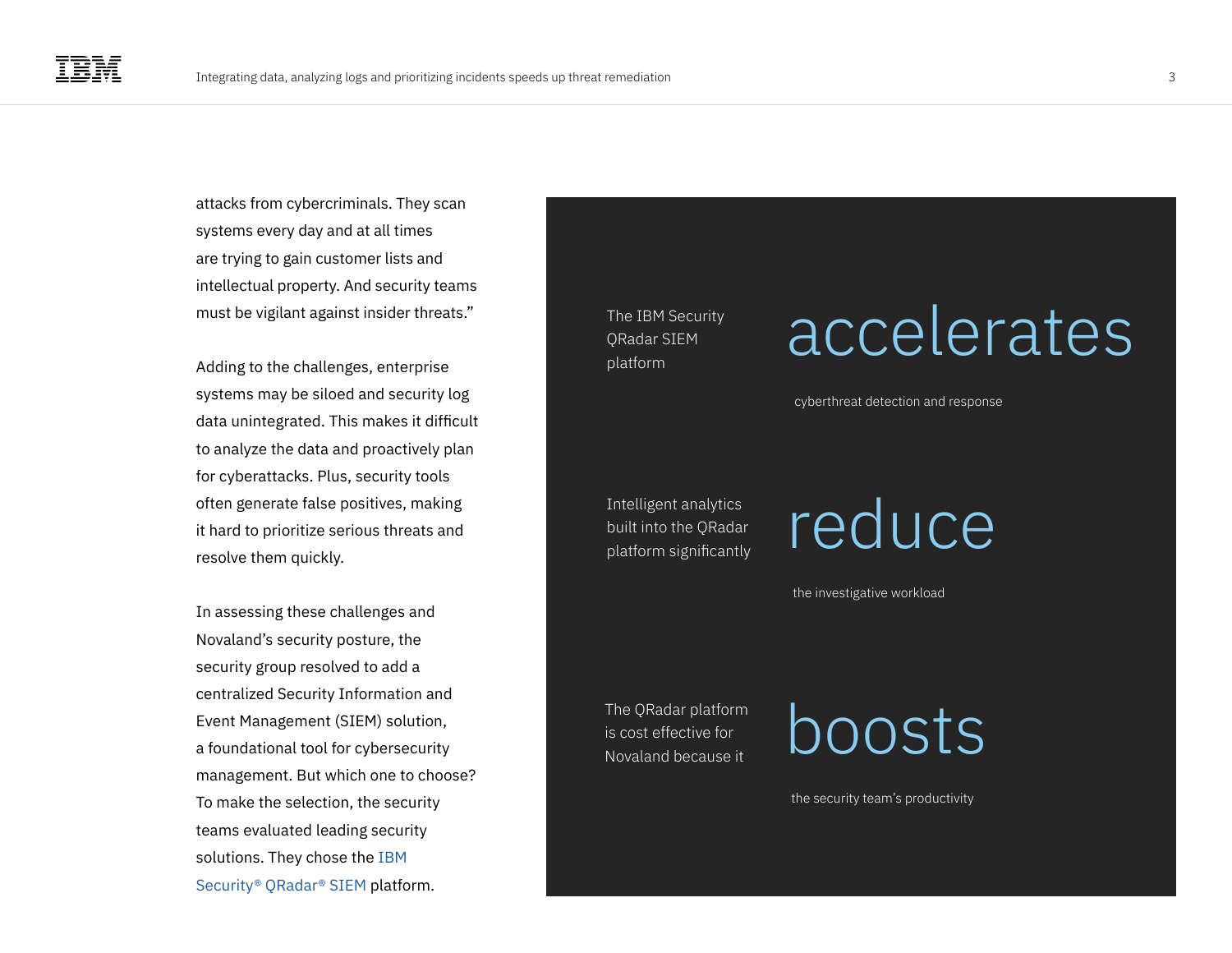attacks from cybercriminals. They scan systems every day and at all times are trying to gain customer lists and intellectual property. And security teams must be vigilant against insider threats."

Adding to the challenges, enterprise systems may be siloed and security log data unintegrated. This makes it difficult to analyze the data and proactively plan for cyberattacks. Plus, security tools often generate false positives, making it hard to prioritize serious threats and resolve them quickly.

In assessing these challenges and Novaland's security posture, the security group resolved to add a centralized Security Information and Event Management (SIEM) solution, a foundational tool for cybersecurity management. But which one to choose? To make the selection, the security teams evaluated leading security solutions. They chose the [IBM](https://www.ibm.com/qradar/security-qradar-siem)  [Security® QRadar® SIEM](https://www.ibm.com/qradar/security-qradar-siem) platform.

The IBM Security QRadar SIEM platform

### Intelligent analytics built into the QRadar platform significantly

### accelerates

cyberthreat detection and response

### reduce

the investigative workload

is cost effective for Novaland because it

The QRadar platform  $\bigcirc$  boost effective for  $\bigcirc$  DOOSTS

the security team's productivity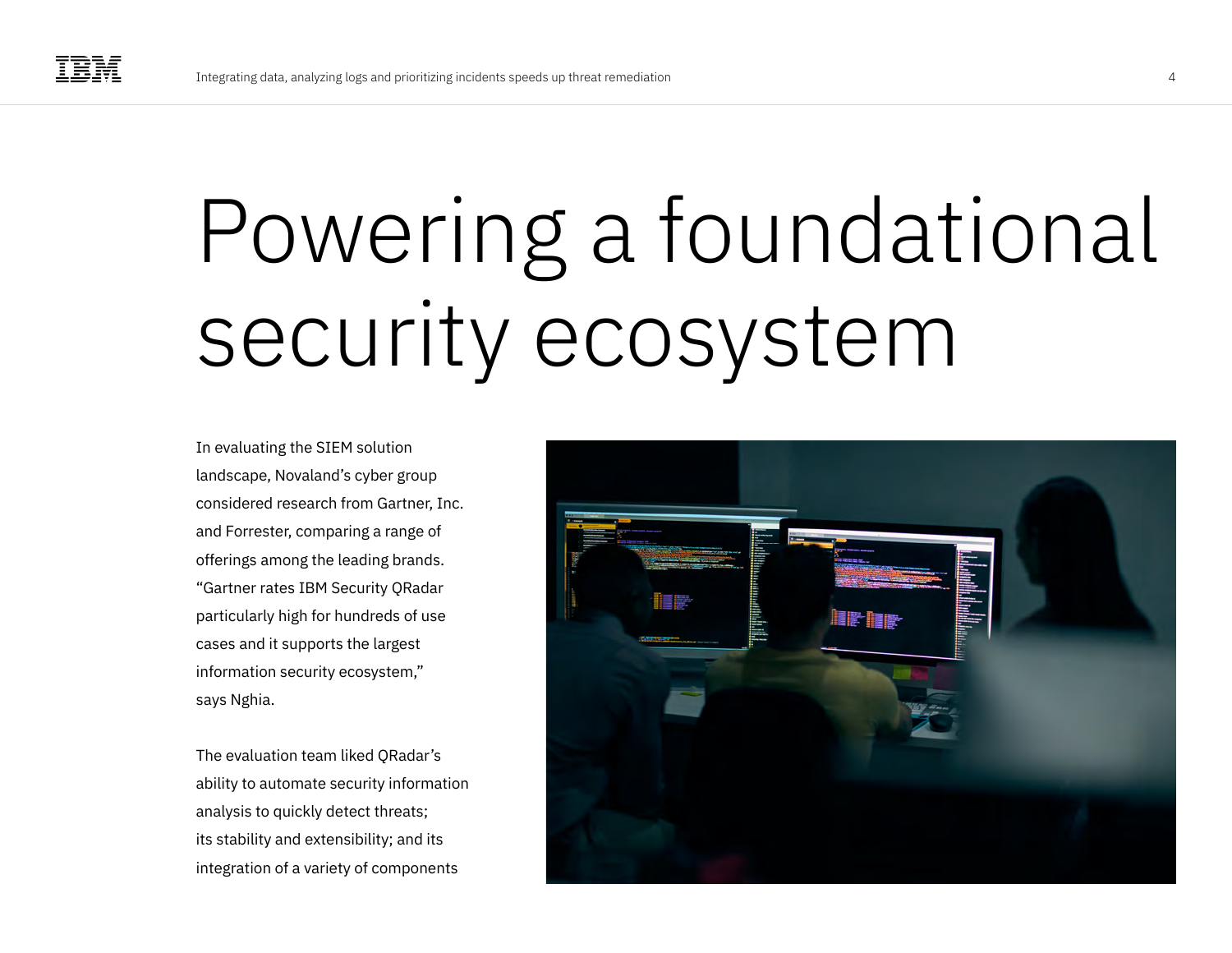## Powering a foundational security ecosystem

In evaluating the SIEM solution landscape, Novaland's cyber group considered research from Gartner, Inc. and Forrester, comparing a range of offerings among the leading brands. "Gartner rates IBM Security QRadar particularly high for hundreds of use cases and it supports the largest information security ecosystem," says Nghia.

The evaluation team liked QRadar's ability to automate security information analysis to quickly detect threats; its stability and extensibility; and its integration of a variety of components

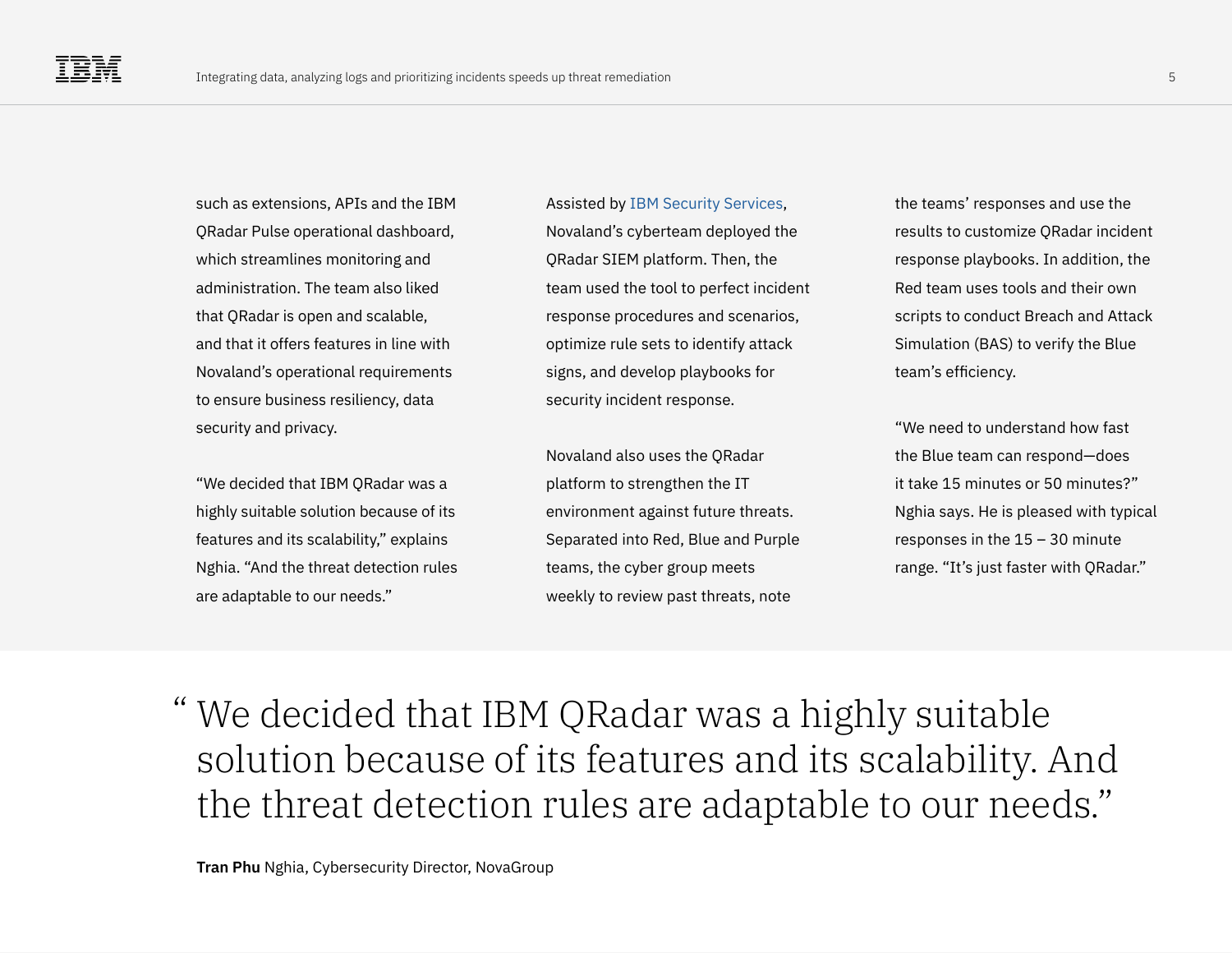such as extensions, APIs and the IBM QRadar Pulse operational dashboard, which streamlines monitoring and administration. The team also liked that QRadar is open and scalable, and that it offers features in line with Novaland's operational requirements to ensure business resiliency, data security and privacy.

"We decided that IBM QRadar was a highly suitable solution because of its features and its scalability," explains Nghia. "And the threat detection rules are adaptable to our needs."

Assisted by [IBM Security Services](https://www.ibm.com/security/services), Novaland's cyberteam deployed the QRadar SIEM platform. Then, the team used the tool to perfect incident response procedures and scenarios, optimize rule sets to identify attack signs, and develop playbooks for security incident response.

Novaland also uses the QRadar platform to strengthen the IT environment against future threats. Separated into Red, Blue and Purple teams, the cyber group meets weekly to review past threats, note

the teams' responses and use the results to customize QRadar incident response playbooks. In addition, the Red team uses tools and their own scripts to conduct Breach and Attack Simulation (BAS) to verify the Blue team's efficiency.

"We need to understand how fast the Blue team can respond—does it take 15 minutes or 50 minutes?" Nghia says. He is pleased with typical responses in the 15 – 30 minute range. "It's just faster with QRadar."

We decided that IBM QRadar was a highly suitable "solution because of its features and its scalability. And the threat detection rules are adaptable to our needs."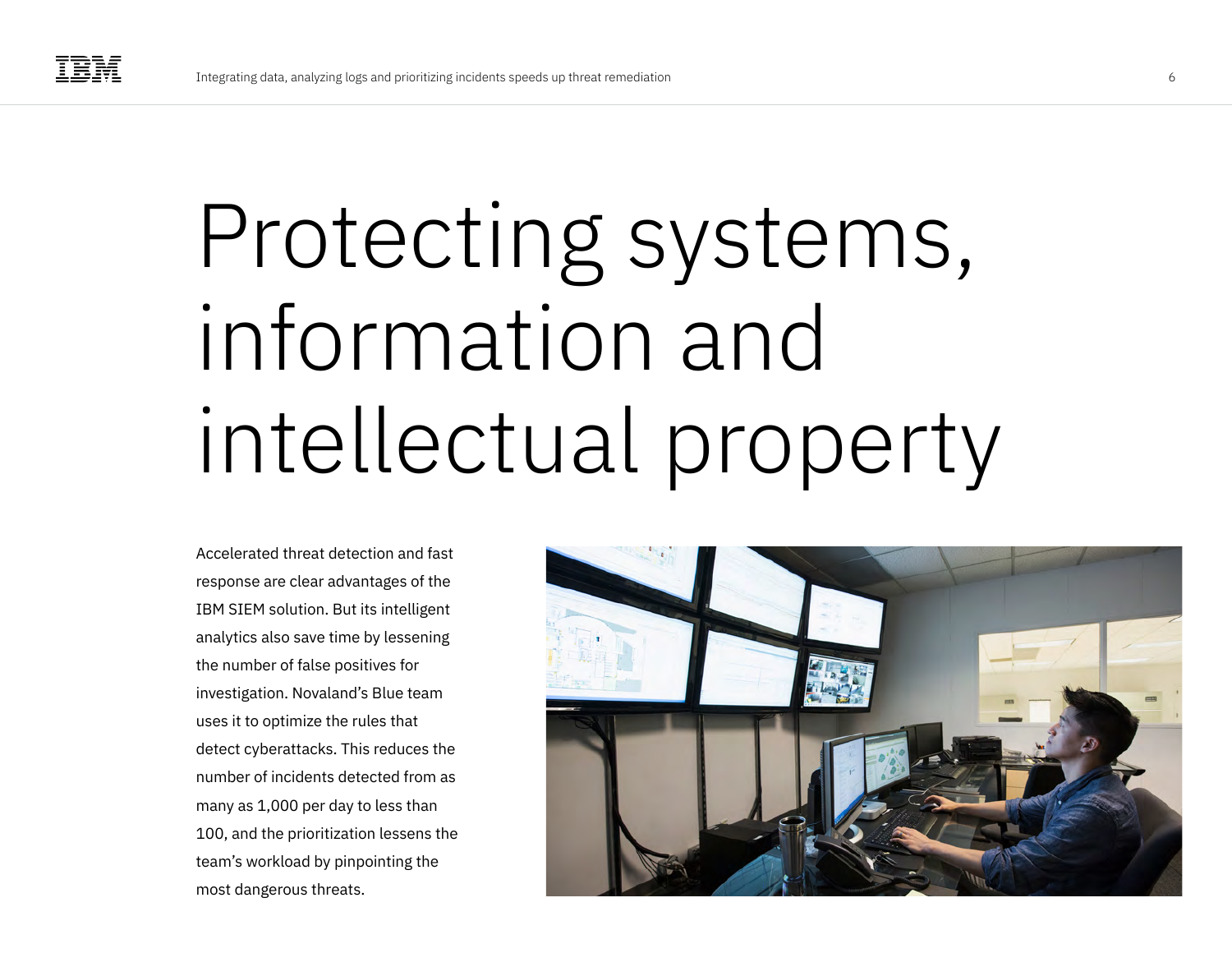## Protecting systems, information and intellectual property

Accelerated threat detection and fast response are clear advantages of the IBM SIEM solution. But its intelligent analytics also save time by lessening the number of false positives for investigation. Novaland's Blue team uses it to optimize the rules that detect cyberattacks. This reduces the number of incidents detected from as many as 1,000 per day to less than 100, and the prioritization lessens the team's workload by pinpointing the most dangerous threats.

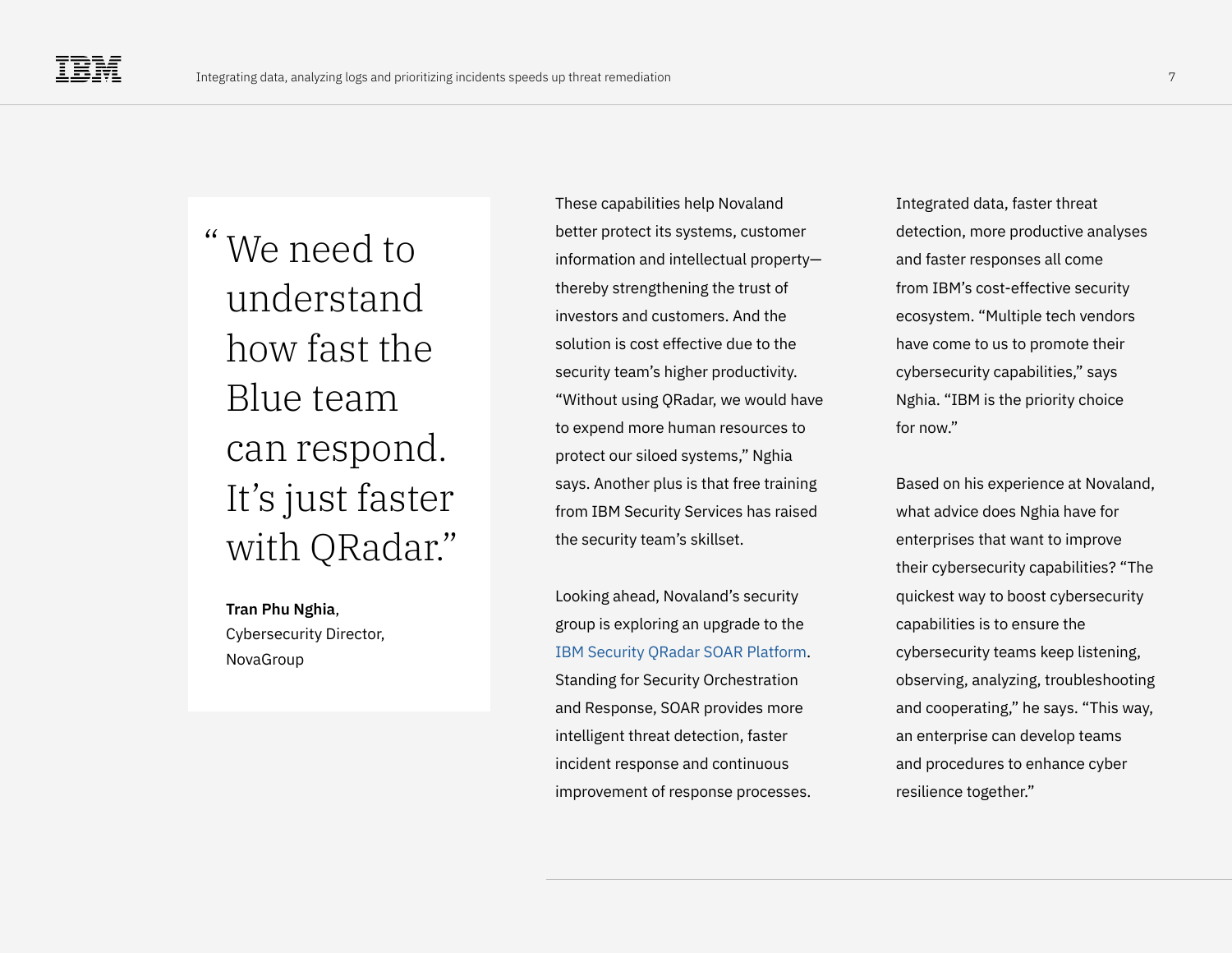We need to "understand how fast the Blue team can respond. It's just faster with QRadar."

**Tran Phu Nghia**, Cybersecurity Director, NovaGroup

These capabilities help Novaland better protect its systems, customer information and intellectual property thereby strengthening the trust of investors and customers. And the solution is cost effective due to the security team's higher productivity. "Without using QRadar, we would have to expend more human resources to protect our siloed systems," Nghia says. Another plus is that free training from IBM Security Services has raised the security team's skillset.

Looking ahead, Novaland's security group is exploring an upgrade to the [IBM Security QRadar SOAR Platform.](https://www.ibm.com/qradar/security-qradar-soar) Standing for Security Orchestration and Response, SOAR provides more intelligent threat detection, faster incident response and continuous improvement of response processes. Integrated data, faster threat detection, more productive analyses and faster responses all come from IBM's cost-effective security ecosystem. "Multiple tech vendors have come to us to promote their cybersecurity capabilities," says Nghia. "IBM is the priority choice for now."

Based on his experience at Novaland, what advice does Nghia have for enterprises that want to improve their cybersecurity capabilities? "The quickest way to boost cybersecurity capabilities is to ensure the cybersecurity teams keep listening, observing, analyzing, troubleshooting and cooperating," he says. "This way, an enterprise can develop teams and procedures to enhance cyber resilience together."